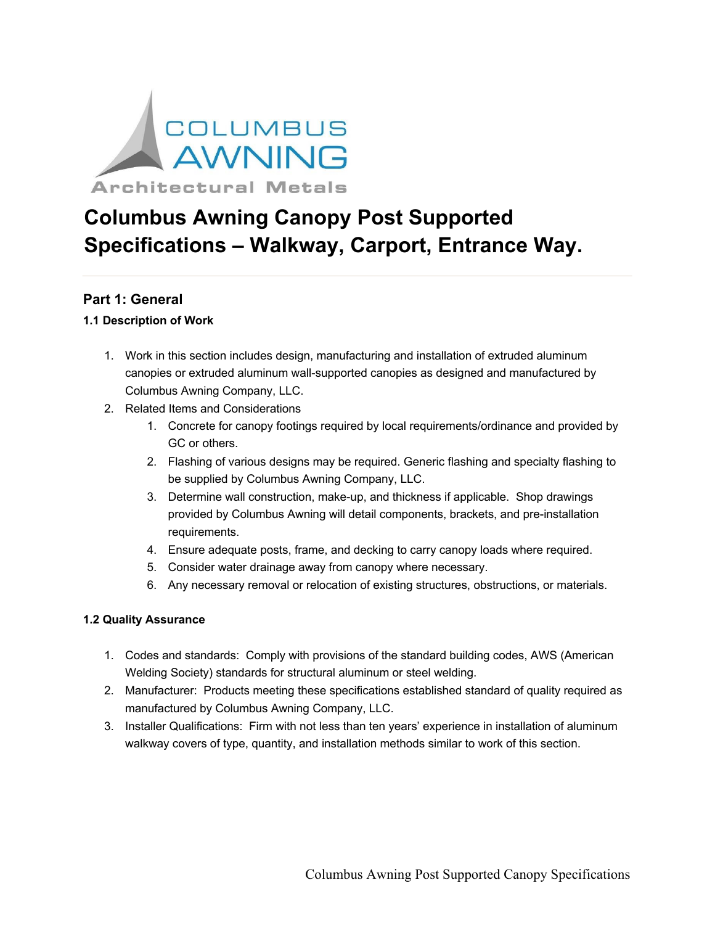

# **Columbus Awning Canopy Post Supported Specifications – Walkway, Carport, Entrance Way.**

# **Part 1: General**

## **1.1 Description of Work**

- 1. Work in this section includes design, manufacturing and installation of extruded aluminum canopies or extruded aluminum wall-supported canopies as designed and manufactured by Columbus Awning Company, LLC.
- 2. Related Items and Considerations
	- 1. Concrete for canopy footings required by local requirements/ordinance and provided by GC or others.
	- 2. Flashing of various designs may be required. Generic flashing and specialty flashing to be supplied by Columbus Awning Company, LLC.
	- 3. Determine wall construction, make-up, and thickness if applicable. Shop drawings provided by Columbus Awning will detail components, brackets, and pre-installation requirements.
	- 4. Ensure adequate posts, frame, and decking to carry canopy loads where required.
	- 5. Consider water drainage away from canopy where necessary.
	- 6. Any necessary removal or relocation of existing structures, obstructions, or materials.

#### **1.2 Quality Assurance**

- 1. Codes and standards: Comply with provisions of the standard building codes, AWS (American Welding Society) standards for structural aluminum or steel welding.
- 2. Manufacturer: Products meeting these specifications established standard of quality required as manufactured by Columbus Awning Company, LLC.
- 3. Installer Qualifications: Firm with not less than ten years' experience in installation of aluminum walkway covers of type, quantity, and installation methods similar to work of this section.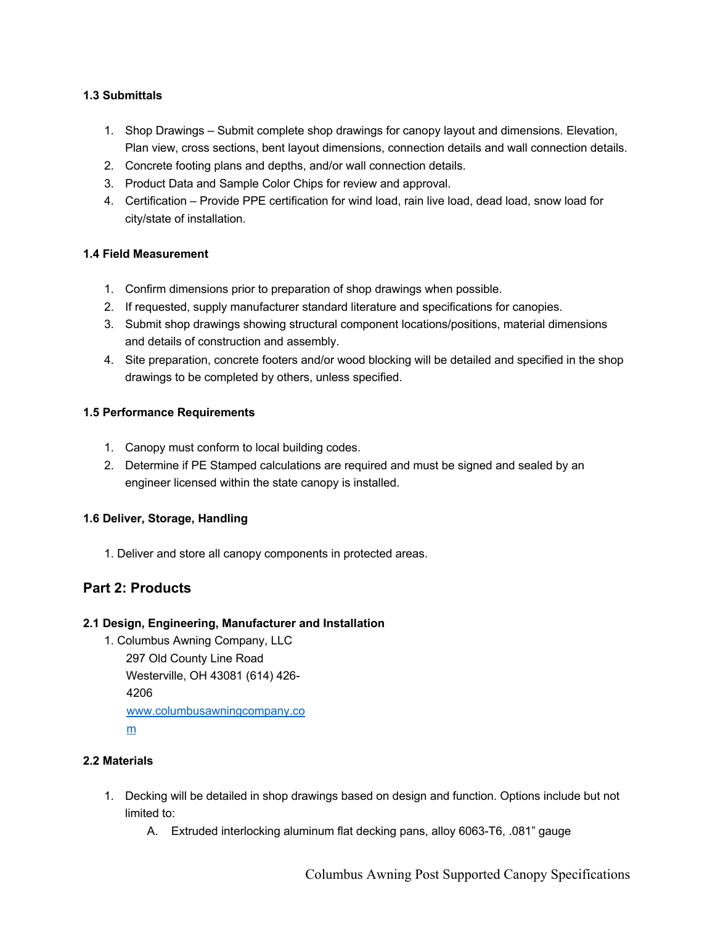# **1.3 Submittals**

- 1. Shop Drawings Submit complete shop drawings for canopy layout and dimensions. Elevation, Plan view, cross sections, bent layout dimensions, connection details and wall connection details.
- 2. Concrete footing plans and depths, and/or wall connection details.
- 3. Product Data and Sample Color Chips for review and approval.
- 4. Certification Provide PPE certification for wind load, rain live load, dead load, snow load for city/state of installation.

#### **1.4 Field Measurement**

- 1. Confirm dimensions prior to preparation of shop drawings when possible.
- 2. If requested, supply manufacturer standard literature and specifications for canopies.
- 3. Submit shop drawings showing structural component locations/positions, material dimensions and details of construction and assembly.
- 4. Site preparation, concrete footers and/or wood blocking will be detailed and specified in the shop drawings to be completed by others, unless specified.

#### **1.5 Performance Requirements**

- 1. Canopy must conform to local building codes.
- 2. Determine if PE Stamped calculations are required and must be signed and sealed by an engineer licensed within the state canopy is installed.

#### **1.6 Deliver, Storage, Handling**

1. Deliver and store all canopy components in protected areas.

# **Part 2: Products**

#### **2.1 Design, Engineering, Manufacturer and Installation**

1. Columbus Awning Company, LLC 297 Old County Line Road Westerville, OH 43081 (614) 426- 4206 www.columbusawningcompany.co m

## **2.2 Materials**

- 1. Decking will be detailed in shop drawings based on design and function. Options include but not limited to:
	- A. Extruded interlocking aluminum flat decking pans, alloy 6063-T6, .081" gauge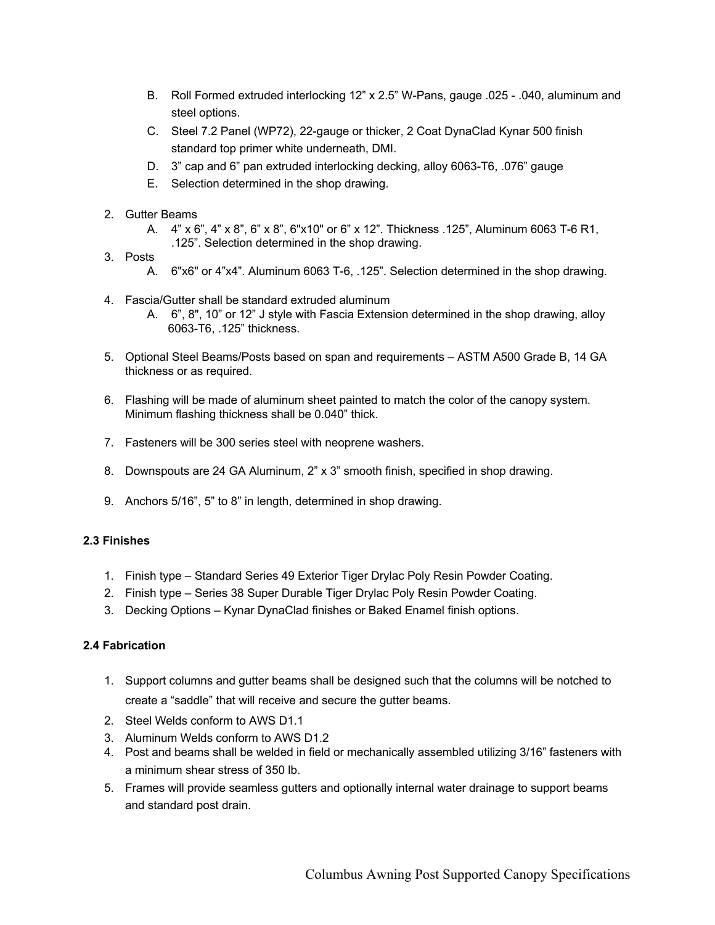- B. Roll Formed extruded interlocking 12" x 2.5" W-Pans, gauge .025 .040, aluminum and steel options.
- C. Steel 7.2 Panel (WP72), 22-gauge or thicker, 2 Coat DynaClad Kynar 500 finish standard top primer white underneath, DMI.
- D. 3" cap and 6" pan extruded interlocking decking, alloy 6063-T6, .076" gauge
- E. Selection determined in the shop drawing.
- 2. Gutter Beams
	- A. 4" x 6", 4" x 8", 6" x 8", 6"x10" or 6" x 12". Thickness .125", Aluminum 6063 T-6 R1, .125". Selection determined in the shop drawing.
- 3. Posts
	- A. 6"x6" or 4"x4". Aluminum 6063 T-6, .125". Selection determined in the shop drawing.
- 4. Fascia/Gutter shall be standard extruded aluminum
	- A. 6", 8", 10" or 12" J style with Fascia Extension determined in the shop drawing, alloy 6063-T6, .125" thickness.
- 5. Optional Steel Beams/Posts based on span and requirements ASTM A500 Grade B, 14 GA thickness or as required.
- 6. Flashing will be made of aluminum sheet painted to match the color of the canopy system. Minimum flashing thickness shall be 0.040" thick.
- 7. Fasteners will be 300 series steel with neoprene washers.
- 8. Downspouts are 24 GA Aluminum, 2" x 3" smooth finish, specified in shop drawing.
- 9. Anchors 5/16", 5" to 8" in length, determined in shop drawing.

#### **2.3 Finishes**

- 1. Finish type Standard Series 49 Exterior Tiger Drylac Poly Resin Powder Coating.
- 2. Finish type Series 38 Super Durable Tiger Drylac Poly Resin Powder Coating.
- 3. Decking Options Kynar DynaClad finishes or Baked Enamel finish options.

#### **2.4 Fabrication**

- 1. Support columns and gutter beams shall be designed such that the columns will be notched to create a "saddle" that will receive and secure the gutter beams.
- 2. Steel Welds conform to AWS D1.1
- 3. Aluminum Welds conform to AWS D1.2
- 4. Post and beams shall be welded in field or mechanically assembled utilizing 3/16" fasteners with a minimum shear stress of 350 lb.
- 5. Frames will provide seamless gutters and optionally internal water drainage to support beams and standard post drain.